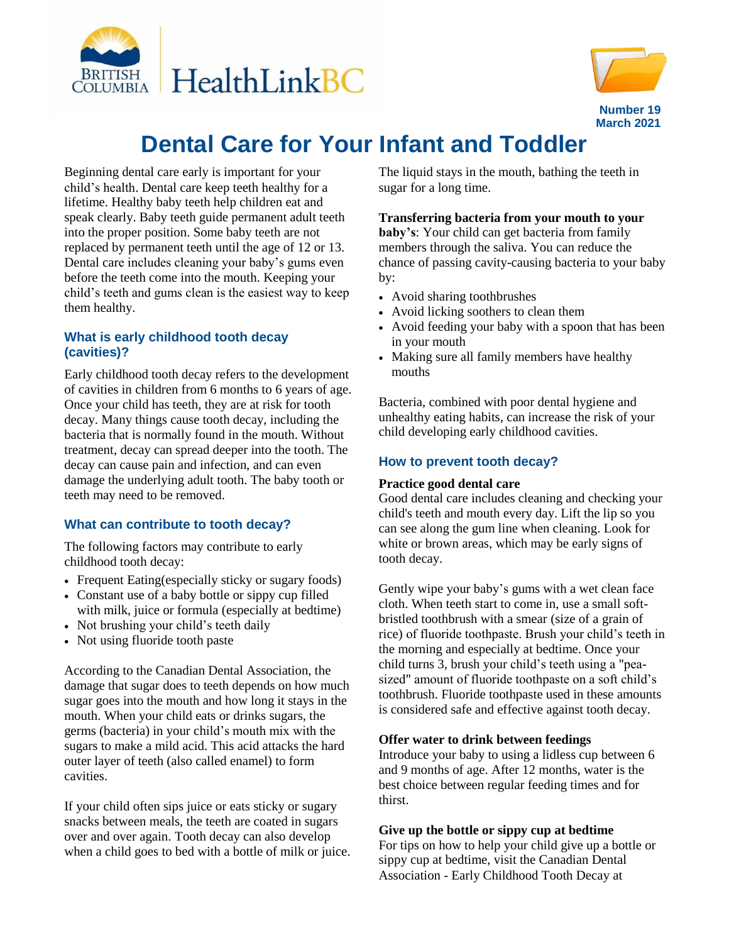



# **Dental Care for Your Infant and Toddler**

Beginning dental care early is important for your child's health. Dental care keep teeth healthy for a lifetime. Healthy baby teeth help children eat and speak clearly. Baby teeth guide permanent adult teeth into the proper position. Some baby teeth are not replaced by permanent teeth until the age of 12 or 13. Dental care includes cleaning your baby's gums even before the teeth come into the mouth. Keeping your child's teeth and gums clean is the easiest way to keep them healthy.

## **What is early childhood tooth decay (cavities)?**

Early childhood tooth decay refers to the development of cavities in children from 6 months to 6 years of age. Once your child has teeth, they are at risk for tooth decay. Many things cause tooth decay, including the bacteria that is normally found in the mouth. Without treatment, decay can spread deeper into the tooth. The decay can cause pain and infection, and can even damage the underlying adult tooth. The baby tooth or teeth may need to be removed.

## **What can contribute to tooth decay?**

The following factors may contribute to early childhood tooth decay:

- Frequent Eating(especially sticky or sugary foods)
- Constant use of a baby bottle or sippy cup filled with milk, juice or formula (especially at bedtime)
- Not brushing your child's teeth daily
- Not using fluoride tooth paste

According to the Canadian Dental Association, the damage that sugar does to teeth depends on how much sugar goes into the mouth and how long it stays in the mouth. When your child eats or drinks sugars, the germs (bacteria) in your child's mouth mix with the sugars to make a mild acid. This acid attacks the hard outer layer of teeth (also called enamel) to form cavities.

If your child often sips juice or eats sticky or sugary snacks between meals, the teeth are coated in sugars over and over again. Tooth decay can also develop when a child goes to bed with a bottle of milk or juice. The liquid stays in the mouth, bathing the teeth in sugar for a long time.

## **Transferring bacteria from your mouth to your**

**baby's**: Your child can get bacteria from family members through the saliva. You can reduce the chance of passing cavity-causing bacteria to your baby by:

- Avoid sharing toothbrushes
- Avoid licking soothers to clean them
- Avoid feeding your baby with a spoon that has been in your mouth
- Making sure all family members have healthy mouths

Bacteria, combined with poor dental hygiene and unhealthy eating habits, can increase the risk of your child developing early childhood cavities.

# **How to prevent tooth decay?**

#### **Practice good dental care**

Good dental care includes cleaning and checking your child's teeth and mouth every day. Lift the lip so you can see along the gum line when cleaning. Look for white or brown areas, which may be early signs of tooth decay.

Gently wipe your baby's gums with a wet clean face cloth. When teeth start to come in, use a small softbristled toothbrush with a smear (size of a grain of rice) of fluoride toothpaste. Brush your child's teeth in the morning and especially at bedtime. Once your child turns 3, brush your child's teeth using a "peasized" amount of fluoride toothpaste on a soft child's toothbrush. Fluoride toothpaste used in these amounts is considered safe and effective against tooth decay.

#### **Offer water to drink between feedings**

Introduce your baby to using a lidless cup between 6 and 9 months of age. After 12 months, water is the best choice between regular feeding times and for thirst.

#### **Give up the bottle or sippy cup at bedtime**

For tips on how to help your child give up a bottle or sippy cup at bedtime, visit the Canadian Dental Association - Early Childhood Tooth Decay at